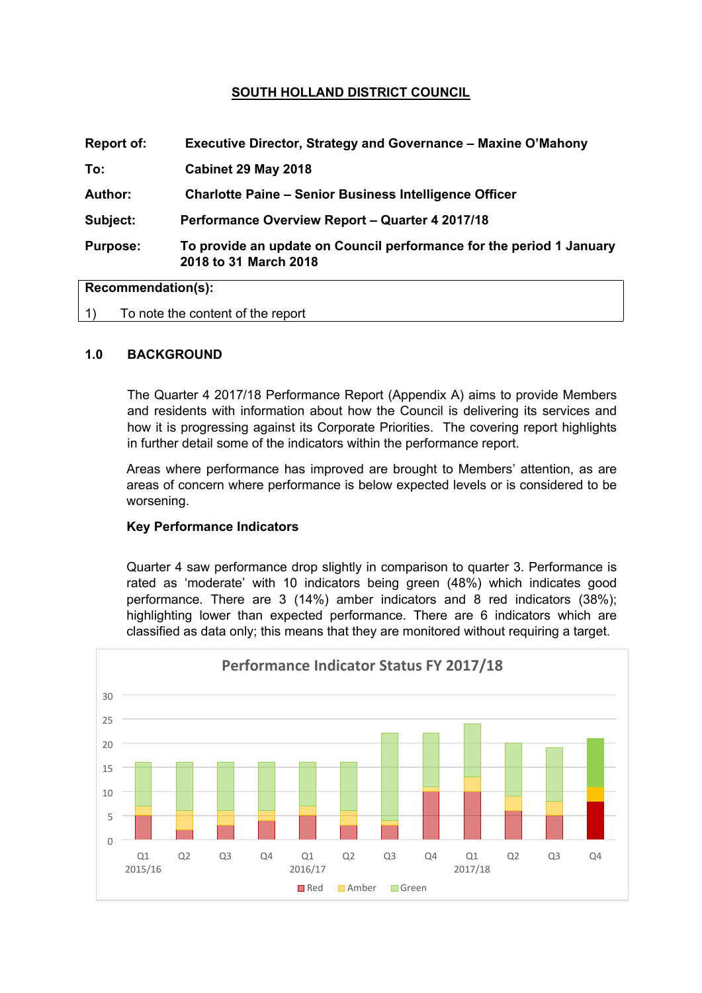# **SOUTH HOLLAND DISTRICT COUNCIL**

| <b>Report of:</b>  | Executive Director, Strategy and Governance - Maxine O'Mahony                                 |
|--------------------|-----------------------------------------------------------------------------------------------|
| To:                | Cabinet 29 May 2018                                                                           |
| <b>Author:</b>     | <b>Charlotte Paine – Senior Business Intelligence Officer</b>                                 |
| Subject:           | Performance Overview Report - Quarter 4 2017/18                                               |
| <b>Purpose:</b>    | To provide an update on Council performance for the period 1 January<br>2018 to 31 March 2018 |
| Recommendation(s): |                                                                                               |

1) To note the content of the report

## **1.0 BACKGROUND**

The Quarter 4 2017/18 Performance Report (Appendix A) aims to provide Members and residents with information about how the Council is delivering its services and how it is progressing against its Corporate Priorities. The covering report highlights in further detail some of the indicators within the performance report.

Areas where performance has improved are brought to Members' attention, as are areas of concern where performance is below expected levels or is considered to be worsening.

## **Key Performance Indicators**

Quarter 4 saw performance drop slightly in comparison to quarter 3. Performance is rated as 'moderate' with 10 indicators being green (48%) which indicates good performance. There are 3 (14%) amber indicators and 8 red indicators (38%); highlighting lower than expected performance. There are 6 indicators which are classified as data only; this means that they are monitored without requiring a target.

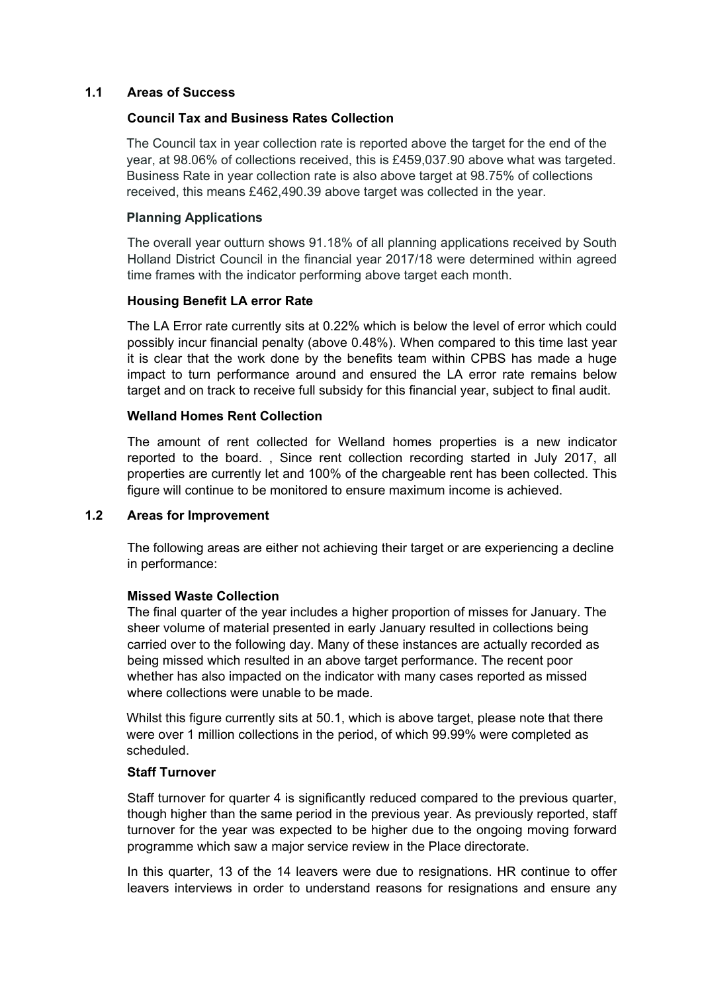## **1.1 Areas of Success**

#### **Council Tax and Business Rates Collection**

The Council tax in year collection rate is reported above the target for the end of the year, at 98.06% of collections received, this is £459,037.90 above what was targeted. Business Rate in year collection rate is also above target at 98.75% of collections received, this means £462,490.39 above target was collected in the year.

#### **Planning Applications**

The overall year outturn shows 91.18% of all planning applications received by South Holland District Council in the financial year 2017/18 were determined within agreed time frames with the indicator performing above target each month.

#### **Housing Benefit LA error Rate**

The LA Error rate currently sits at 0.22% which is below the level of error which could possibly incur financial penalty (above 0.48%). When compared to this time last year it is clear that the work done by the benefits team within CPBS has made a huge impact to turn performance around and ensured the LA error rate remains below target and on track to receive full subsidy for this financial year, subject to final audit.

#### **Welland Homes Rent Collection**

The amount of rent collected for Welland homes properties is a new indicator reported to the board. , Since rent collection recording started in July 2017, all properties are currently let and 100% of the chargeable rent has been collected. This figure will continue to be monitored to ensure maximum income is achieved.

#### **1.2 Areas for Improvement**

The following areas are either not achieving their target or are experiencing a decline in performance:

#### **Missed Waste Collection**

The final quarter of the year includes a higher proportion of misses for January. The sheer volume of material presented in early January resulted in collections being carried over to the following day. Many of these instances are actually recorded as being missed which resulted in an above target performance. The recent poor whether has also impacted on the indicator with many cases reported as missed where collections were unable to be made.

Whilst this figure currently sits at 50.1, which is above target, please note that there were over 1 million collections in the period, of which 99.99% were completed as scheduled.

## **Staff Turnover**

Staff turnover for quarter 4 is significantly reduced compared to the previous quarter, though higher than the same period in the previous year. As previously reported, staff turnover for the year was expected to be higher due to the ongoing moving forward programme which saw a major service review in the Place directorate.

In this quarter, 13 of the 14 leavers were due to resignations. HR continue to offer leavers interviews in order to understand reasons for resignations and ensure any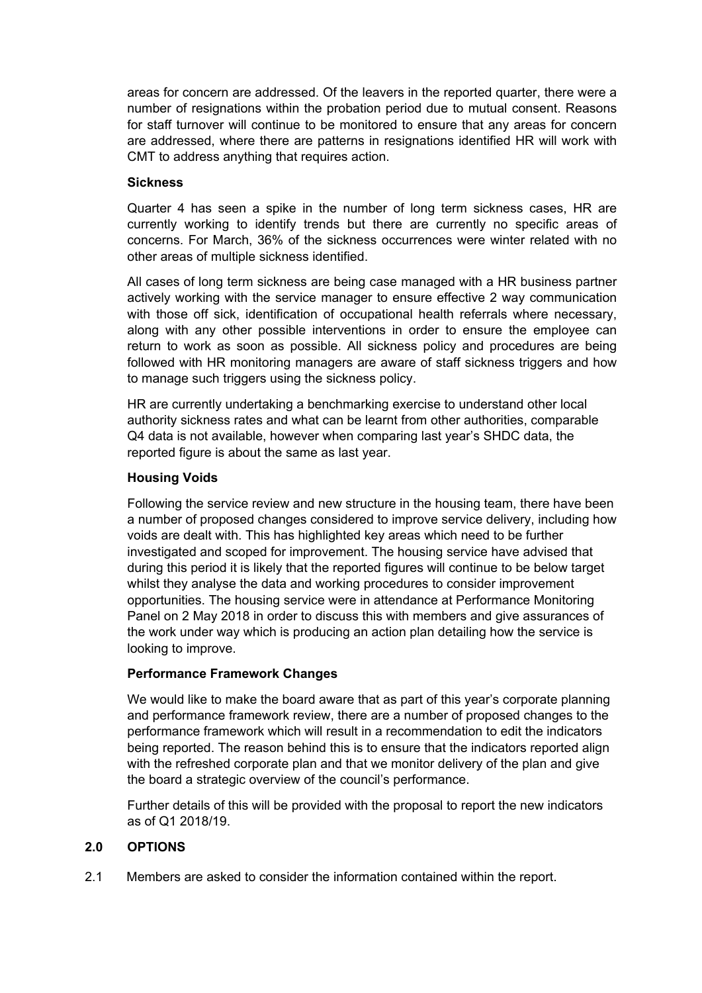areas for concern are addressed. Of the leavers in the reported quarter, there were a number of resignations within the probation period due to mutual consent. Reasons for staff turnover will continue to be monitored to ensure that any areas for concern are addressed, where there are patterns in resignations identified HR will work with CMT to address anything that requires action.

## **Sickness**

Quarter 4 has seen a spike in the number of long term sickness cases, HR are currently working to identify trends but there are currently no specific areas of concerns. For March, 36% of the sickness occurrences were winter related with no other areas of multiple sickness identified.

All cases of long term sickness are being case managed with a HR business partner actively working with the service manager to ensure effective 2 way communication with those off sick, identification of occupational health referrals where necessary, along with any other possible interventions in order to ensure the employee can return to work as soon as possible. All sickness policy and procedures are being followed with HR monitoring managers are aware of staff sickness triggers and how to manage such triggers using the sickness policy.

HR are currently undertaking a benchmarking exercise to understand other local authority sickness rates and what can be learnt from other authorities, comparable Q4 data is not available, however when comparing last year's SHDC data, the reported figure is about the same as last year.

## **Housing Voids**

Following the service review and new structure in the housing team, there have been a number of proposed changes considered to improve service delivery, including how voids are dealt with. This has highlighted key areas which need to be further investigated and scoped for improvement. The housing service have advised that during this period it is likely that the reported figures will continue to be below target whilst they analyse the data and working procedures to consider improvement opportunities. The housing service were in attendance at Performance Monitoring Panel on 2 May 2018 in order to discuss this with members and give assurances of the work under way which is producing an action plan detailing how the service is looking to improve.

## **Performance Framework Changes**

We would like to make the board aware that as part of this year's corporate planning and performance framework review, there are a number of proposed changes to the performance framework which will result in a recommendation to edit the indicators being reported. The reason behind this is to ensure that the indicators reported align with the refreshed corporate plan and that we monitor delivery of the plan and give the board a strategic overview of the council's performance.

Further details of this will be provided with the proposal to report the new indicators as of Q1 2018/19.

## **2.0 OPTIONS**

2.1 Members are asked to consider the information contained within the report.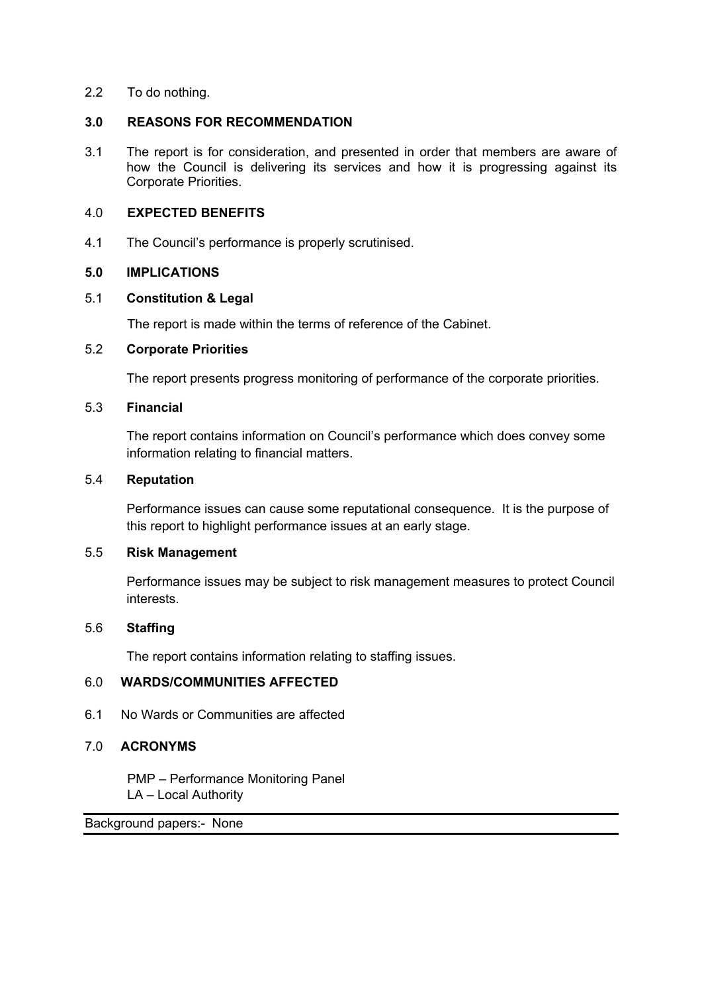2.2 To do nothing.

## **3.0 REASONS FOR RECOMMENDATION**

3.1 The report is for consideration, and presented in order that members are aware of how the Council is delivering its services and how it is progressing against its Corporate Priorities.

#### 4.0 **EXPECTED BENEFITS**

4.1 The Council's performance is properly scrutinised.

## **5.0 IMPLICATIONS**

#### 5.1 **Constitution & Legal**

The report is made within the terms of reference of the Cabinet.

## 5.2 **Corporate Priorities**

The report presents progress monitoring of performance of the corporate priorities.

## 5.3 **Financial**

The report contains information on Council's performance which does convey some information relating to financial matters.

#### 5.4 **Reputation**

Performance issues can cause some reputational consequence. It is the purpose of this report to highlight performance issues at an early stage.

## 5.5 **Risk Management**

Performance issues may be subject to risk management measures to protect Council interests.

## 5.6 **Staffing**

The report contains information relating to staffing issues.

## 6.0 **WARDS/COMMUNITIES AFFECTED**

6.1 No Wards or Communities are affected

## 7.0 **ACRONYMS**

PMP – Performance Monitoring Panel LA – Local Authority

Background papers:- [None](file:///C:/Users/CharlottePaine/Democratic%20Services/Committee/Committee/Report%20Guide/2014/THE%20COMMITTEE%20REPORT%20GUIDE_JUNE%202014.doc)